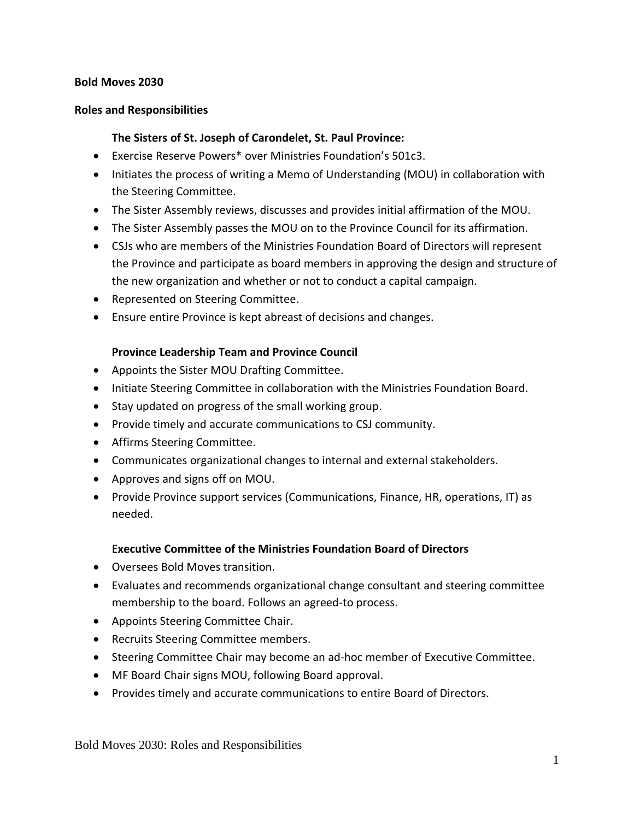#### **Bold Moves 2030**

#### **Roles and Responsibilities**

#### **The Sisters of St. Joseph of Carondelet, St. Paul Province:**

- Exercise Reserve Powers\* over Ministries Foundation's 501c3.
- Initiates the process of writing a Memo of Understanding (MOU) in collaboration with the Steering Committee.
- The Sister Assembly reviews, discusses and provides initial affirmation of the MOU.
- The Sister Assembly passes the MOU on to the Province Council for its affirmation.
- CSJs who are members of the Ministries Foundation Board of Directors will represent the Province and participate as board members in approving the design and structure of the new organization and whether or not to conduct a capital campaign.
- Represented on Steering Committee.
- Ensure entire Province is kept abreast of decisions and changes.

#### **Province Leadership Team and Province Council**

- Appoints the Sister MOU Drafting Committee.
- Initiate Steering Committee in collaboration with the Ministries Foundation Board.
- Stay updated on progress of the small working group.
- Provide timely and accurate communications to CSJ community.
- Affirms Steering Committee.
- Communicates organizational changes to internal and external stakeholders.
- Approves and signs off on MOU.
- Provide Province support services (Communications, Finance, HR, operations, IT) as needed.

#### E**xecutive Committee of the Ministries Foundation Board of Directors**

- Oversees Bold Moves transition.
- Evaluates and recommends organizational change consultant and steering committee membership to the board. Follows an agreed-to process.
- Appoints Steering Committee Chair.
- Recruits Steering Committee members.
- Steering Committee Chair may become an ad-hoc member of Executive Committee.
- MF Board Chair signs MOU, following Board approval.
- Provides timely and accurate communications to entire Board of Directors.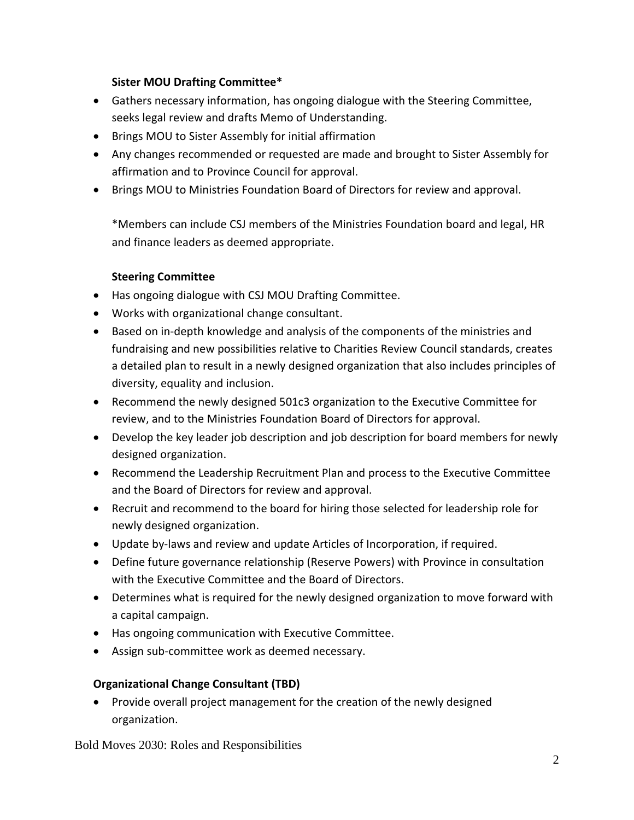### **Sister MOU Drafting Committee\***

- Gathers necessary information, has ongoing dialogue with the Steering Committee, seeks legal review and drafts Memo of Understanding.
- Brings MOU to Sister Assembly for initial affirmation
- Any changes recommended or requested are made and brought to Sister Assembly for affirmation and to Province Council for approval.
- Brings MOU to Ministries Foundation Board of Directors for review and approval.

\*Members can include CSJ members of the Ministries Foundation board and legal, HR and finance leaders as deemed appropriate.

## **Steering Committee**

- Has ongoing dialogue with CSJ MOU Drafting Committee.
- Works with organizational change consultant.
- Based on in-depth knowledge and analysis of the components of the ministries and fundraising and new possibilities relative to Charities Review Council standards, creates a detailed plan to result in a newly designed organization that also includes principles of diversity, equality and inclusion.
- Recommend the newly designed 501c3 organization to the Executive Committee for review, and to the Ministries Foundation Board of Directors for approval.
- Develop the key leader job description and job description for board members for newly designed organization.
- Recommend the Leadership Recruitment Plan and process to the Executive Committee and the Board of Directors for review and approval.
- Recruit and recommend to the board for hiring those selected for leadership role for newly designed organization.
- Update by-laws and review and update Articles of Incorporation, if required.
- Define future governance relationship (Reserve Powers) with Province in consultation with the Executive Committee and the Board of Directors.
- Determines what is required for the newly designed organization to move forward with a capital campaign.
- Has ongoing communication with Executive Committee.
- Assign sub-committee work as deemed necessary.

### **Organizational Change Consultant (TBD)**

• Provide overall project management for the creation of the newly designed organization.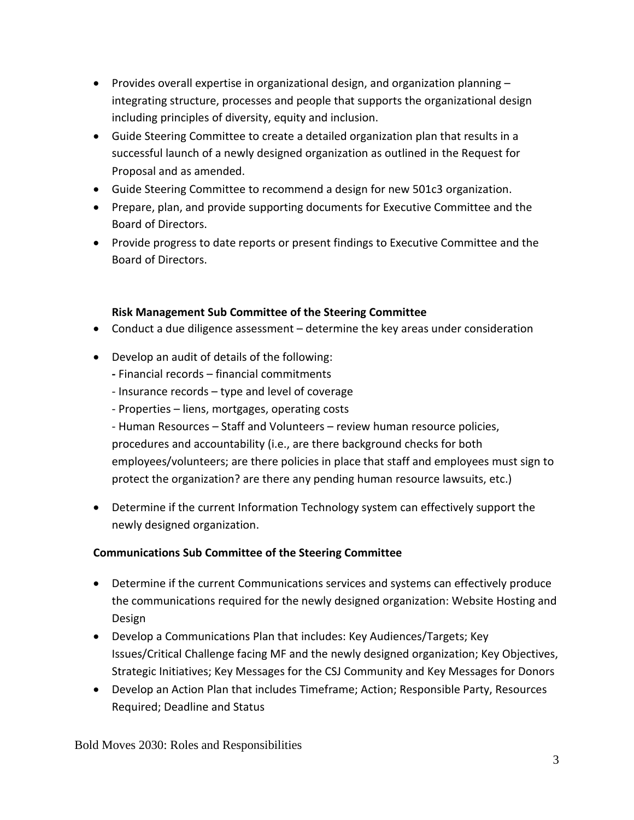- Provides overall expertise in organizational design, and organization planning integrating structure, processes and people that supports the organizational design including principles of diversity, equity and inclusion.
- Guide Steering Committee to create a detailed organization plan that results in a successful launch of a newly designed organization as outlined in the Request for Proposal and as amended.
- Guide Steering Committee to recommend a design for new 501c3 organization.
- Prepare, plan, and provide supporting documents for Executive Committee and the Board of Directors.
- Provide progress to date reports or present findings to Executive Committee and the Board of Directors.

### **Risk Management Sub Committee of the Steering Committee**

- Conduct a due diligence assessment determine the key areas under consideration
- Develop an audit of details of the following:
	- **-** Financial records financial commitments
	- Insurance records type and level of coverage
	- Properties liens, mortgages, operating costs

- Human Resources – Staff and Volunteers – review human resource policies, procedures and accountability (i.e., are there background checks for both employees/volunteers; are there policies in place that staff and employees must sign to protect the organization? are there any pending human resource lawsuits, etc.)

• Determine if the current Information Technology system can effectively support the newly designed organization.

### **Communications Sub Committee of the Steering Committee**

- Determine if the current Communications services and systems can effectively produce the communications required for the newly designed organization: Website Hosting and Design
- Develop a Communications Plan that includes: Key Audiences/Targets; Key Issues/Critical Challenge facing MF and the newly designed organization; Key Objectives, Strategic Initiatives; Key Messages for the CSJ Community and Key Messages for Donors
- Develop an Action Plan that includes Timeframe; Action; Responsible Party, Resources Required; Deadline and Status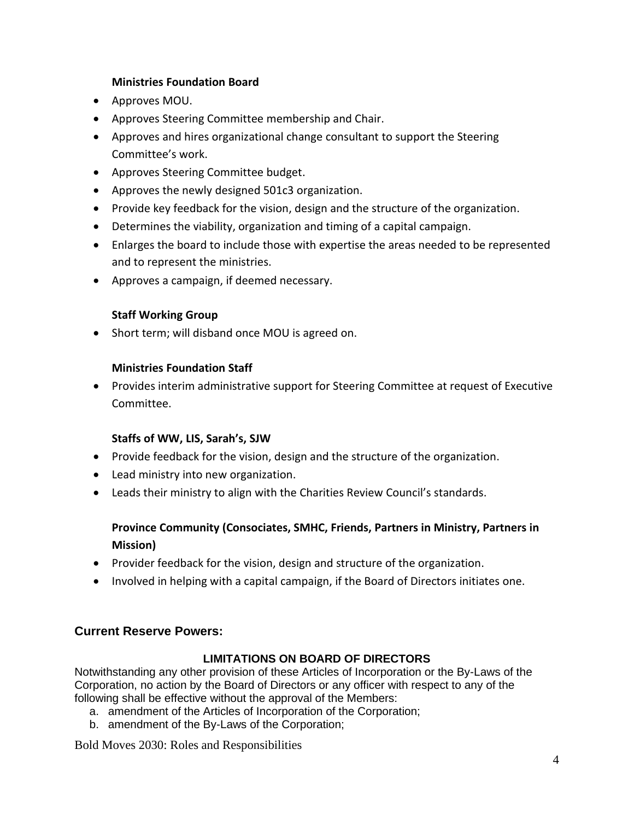#### **Ministries Foundation Board**

- Approves MOU.
- Approves Steering Committee membership and Chair.
- Approves and hires organizational change consultant to support the Steering Committee's work.
- Approves Steering Committee budget.
- Approves the newly designed 501c3 organization.
- Provide key feedback for the vision, design and the structure of the organization.
- Determines the viability, organization and timing of a capital campaign.
- Enlarges the board to include those with expertise the areas needed to be represented and to represent the ministries.
- Approves a campaign, if deemed necessary.

### **Staff Working Group**

• Short term; will disband once MOU is agreed on.

## **Ministries Foundation Staff**

• Provides interim administrative support for Steering Committee at request of Executive Committee.

### **Staffs of WW, LIS, Sarah's, SJW**

- Provide feedback for the vision, design and the structure of the organization.
- Lead ministry into new organization.
- Leads their ministry to align with the Charities Review Council's standards.

# **Province Community (Consociates, SMHC, Friends, Partners in Ministry, Partners in Mission)**

- Provider feedback for the vision, design and structure of the organization.
- Involved in helping with a capital campaign, if the Board of Directors initiates one.

# **Current Reserve Powers:**

### **LIMITATIONS ON BOARD OF DIRECTORS**

Notwithstanding any other provision of these Articles of Incorporation or the By-Laws of the Corporation, no action by the Board of Directors or any officer with respect to any of the following shall be effective without the approval of the Members:

- a. amendment of the Articles of Incorporation of the Corporation;
- b. amendment of the By-Laws of the Corporation;